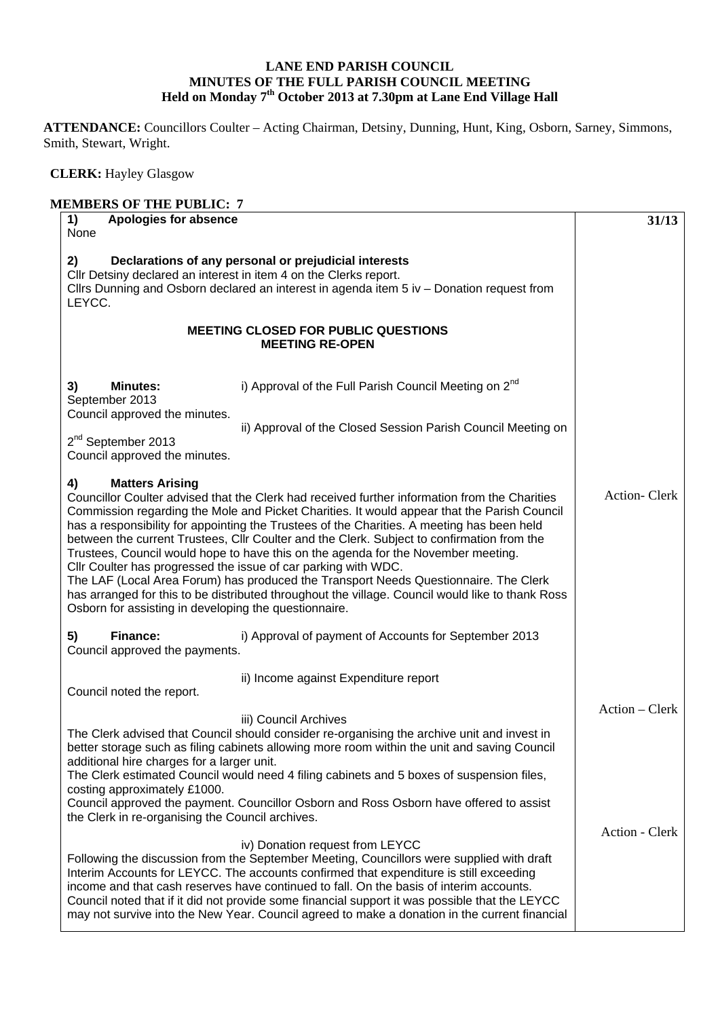## **LANE END PARISH COUNCIL MINUTES OF THE FULL PARISH COUNCIL MEETING Held on Monday 7th October 2013 at 7.30pm at Lane End Village Hall**

**ATTENDANCE:** Councillors Coulter – Acting Chairman, Detsiny, Dunning, Hunt, King, Osborn, Sarney, Simmons, Smith, Stewart, Wright.

 **CLERK:** Hayley Glasgow

## **MEMBERS OF THE PUBLIC: 7 1) Apologies for absence**  None **2) Declarations of any personal or prejudicial interests**  Cllr Detsiny declared an interest in item 4 on the Clerks report. Cllrs Dunning and Osborn declared an interest in agenda item 5 iv – Donation request from LEYCC. **MEETING CLOSED FOR PUBLIC QUESTIONS MEETING RE-OPEN 3) Minutes: i)** Approval of the Full Parish Council Meeting on  $2^{nd}$ September 2013 Council approved the minutes. ii) Approval of the Closed Session Parish Council Meeting on 2<sup>nd</sup> September 2013 Council approved the minutes. **4) Matters Arising**  Councillor Coulter advised that the Clerk had received further information from the Charities Commission regarding the Mole and Picket Charities. It would appear that the Parish Council has a responsibility for appointing the Trustees of the Charities. A meeting has been held between the current Trustees, Cllr Coulter and the Clerk. Subject to confirmation from the Trustees, Council would hope to have this on the agenda for the November meeting. Cllr Coulter has progressed the issue of car parking with WDC. The LAF (Local Area Forum) has produced the Transport Needs Questionnaire. The Clerk has arranged for this to be distributed throughout the village. Council would like to thank Ross Osborn for assisting in developing the questionnaire. **5) Finance:** i) Approval of payment of Accounts for September 2013 Council approved the payments. ii) Income against Expenditure report Council noted the report. iii) Council Archives The Clerk advised that Council should consider re-organising the archive unit and invest in better storage such as filing cabinets allowing more room within the unit and saving Council additional hire charges for a larger unit. The Clerk estimated Council would need 4 filing cabinets and 5 boxes of suspension files, costing approximately £1000. Council approved the payment. Councillor Osborn and Ross Osborn have offered to assist the Clerk in re-organising the Council archives. iv) Donation request from LEYCC Following the discussion from the September Meeting, Councillors were supplied with draft Interim Accounts for LEYCC. The accounts confirmed that expenditure is still exceeding income and that cash reserves have continued to fall. On the basis of interim accounts. Council noted that if it did not provide some financial support it was possible that the LEYCC may not survive into the New Year. Council agreed to make a donation in the current financial **31/13** Action- Clerk Action – Clerk Action - Clerk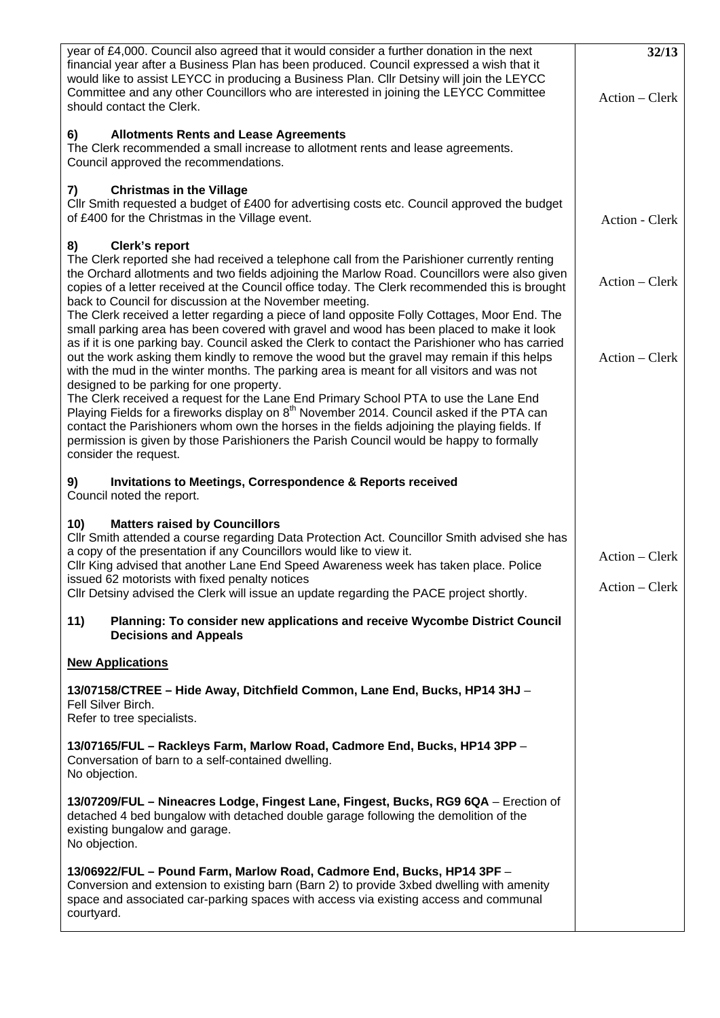| year of £4,000. Council also agreed that it would consider a further donation in the next<br>financial year after a Business Plan has been produced. Council expressed a wish that it<br>would like to assist LEYCC in producing a Business Plan. Cllr Detsiny will join the LEYCC<br>Committee and any other Councillors who are interested in joining the LEYCC Committee                                                                                                                                                        | 32/13<br>Action – Clerk          |
|------------------------------------------------------------------------------------------------------------------------------------------------------------------------------------------------------------------------------------------------------------------------------------------------------------------------------------------------------------------------------------------------------------------------------------------------------------------------------------------------------------------------------------|----------------------------------|
| should contact the Clerk.                                                                                                                                                                                                                                                                                                                                                                                                                                                                                                          |                                  |
| <b>Allotments Rents and Lease Agreements</b><br>6)<br>The Clerk recommended a small increase to allotment rents and lease agreements.<br>Council approved the recommendations.                                                                                                                                                                                                                                                                                                                                                     |                                  |
| <b>Christmas in the Village</b><br>7)<br>CIIr Smith requested a budget of £400 for advertising costs etc. Council approved the budget<br>of £400 for the Christmas in the Village event.                                                                                                                                                                                                                                                                                                                                           | Action - Clerk                   |
| Clerk's report<br>8)<br>The Clerk reported she had received a telephone call from the Parishioner currently renting<br>the Orchard allotments and two fields adjoining the Marlow Road. Councillors were also given<br>copies of a letter received at the Council office today. The Clerk recommended this is brought<br>back to Council for discussion at the November meeting.                                                                                                                                                   | Action – Clerk                   |
| The Clerk received a letter regarding a piece of land opposite Folly Cottages, Moor End. The<br>small parking area has been covered with gravel and wood has been placed to make it look<br>as if it is one parking bay. Council asked the Clerk to contact the Parishioner who has carried<br>out the work asking them kindly to remove the wood but the gravel may remain if this helps<br>with the mud in the winter months. The parking area is meant for all visitors and was not<br>designed to be parking for one property. | Action – Clerk                   |
| The Clerk received a request for the Lane End Primary School PTA to use the Lane End<br>Playing Fields for a fireworks display on 8 <sup>th</sup> November 2014. Council asked if the PTA can<br>contact the Parishioners whom own the horses in the fields adjoining the playing fields. If<br>permission is given by those Parishioners the Parish Council would be happy to formally<br>consider the request.                                                                                                                   |                                  |
| <b>Invitations to Meetings, Correspondence &amp; Reports received</b><br>9)<br>Council noted the report.                                                                                                                                                                                                                                                                                                                                                                                                                           |                                  |
| <b>Matters raised by Councillors</b><br>10)<br>Cllr Smith attended a course regarding Data Protection Act. Councillor Smith advised she has<br>a copy of the presentation if any Councillors would like to view it.<br>Cllr King advised that another Lane End Speed Awareness week has taken place. Police<br>issued 62 motorists with fixed penalty notices<br>Cllr Detsiny advised the Clerk will issue an update regarding the PACE project shortly.                                                                           | Action – Clerk<br>Action - Clerk |
| 11)<br>Planning: To consider new applications and receive Wycombe District Council<br><b>Decisions and Appeals</b>                                                                                                                                                                                                                                                                                                                                                                                                                 |                                  |
| <b>New Applications</b>                                                                                                                                                                                                                                                                                                                                                                                                                                                                                                            |                                  |
| 13/07158/CTREE - Hide Away, Ditchfield Common, Lane End, Bucks, HP14 3HJ -<br>Fell Silver Birch.<br>Refer to tree specialists.                                                                                                                                                                                                                                                                                                                                                                                                     |                                  |
| 13/07165/FUL - Rackleys Farm, Marlow Road, Cadmore End, Bucks, HP14 3PP -<br>Conversation of barn to a self-contained dwelling.<br>No objection.                                                                                                                                                                                                                                                                                                                                                                                   |                                  |
| 13/07209/FUL - Nineacres Lodge, Fingest Lane, Fingest, Bucks, RG9 6QA - Erection of<br>detached 4 bed bungalow with detached double garage following the demolition of the<br>existing bungalow and garage.<br>No objection.                                                                                                                                                                                                                                                                                                       |                                  |
| 13/06922/FUL - Pound Farm, Marlow Road, Cadmore End, Bucks, HP14 3PF -<br>Conversion and extension to existing barn (Barn 2) to provide 3xbed dwelling with amenity<br>space and associated car-parking spaces with access via existing access and communal<br>courtyard.                                                                                                                                                                                                                                                          |                                  |